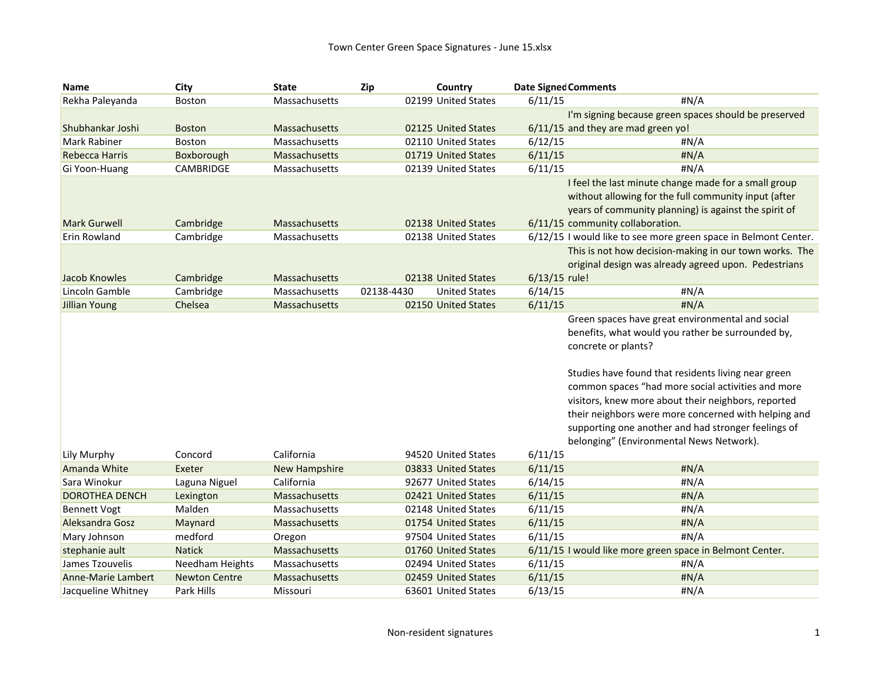| <b>Name</b>            | City                 | <b>State</b>         | Zip        | Country              |               | <b>Date Signed Comments</b>                                     |
|------------------------|----------------------|----------------------|------------|----------------------|---------------|-----------------------------------------------------------------|
| Rekha Paleyanda        | <b>Boston</b>        | Massachusetts        |            | 02199 United States  | 6/11/15       | #N/A                                                            |
|                        |                      |                      |            |                      |               | I'm signing because green spaces should be preserved            |
| Shubhankar Joshi       | <b>Boston</b>        | Massachusetts        |            | 02125 United States  |               | 6/11/15 and they are mad green yo!                              |
| Mark Rabiner           | <b>Boston</b>        | Massachusetts        |            | 02110 United States  | 6/12/15       | # $N/A$                                                         |
| <b>Rebecca Harris</b>  | Boxborough           | Massachusetts        |            | 01719 United States  | 6/11/15       | #N/A                                                            |
| Gi Yoon-Huang          | <b>CAMBRIDGE</b>     | Massachusetts        |            | 02139 United States  | 6/11/15       | #N/A                                                            |
|                        |                      |                      |            |                      |               | I feel the last minute change made for a small group            |
|                        |                      |                      |            |                      |               | without allowing for the full community input (after            |
|                        |                      |                      |            |                      |               | years of community planning) is against the spirit of           |
| <b>Mark Gurwell</b>    | Cambridge            | Massachusetts        |            | 02138 United States  |               | 6/11/15 community collaboration.                                |
| Erin Rowland           | Cambridge            | Massachusetts        |            | 02138 United States  |               | 6/12/15 I would like to see more green space in Belmont Center. |
|                        |                      |                      |            |                      |               | This is not how decision-making in our town works. The          |
|                        |                      |                      |            |                      |               | original design was already agreed upon. Pedestrians            |
| Jacob Knowles          | Cambridge            | Massachusetts        |            | 02138 United States  | 6/13/15 rule! |                                                                 |
| Lincoln Gamble         | Cambridge            | Massachusetts        | 02138-4430 | <b>United States</b> | 6/14/15       | #N/A                                                            |
| Jillian Young          | Chelsea              | Massachusetts        |            | 02150 United States  | 6/11/15       | #N/A                                                            |
|                        |                      |                      |            |                      |               | Green spaces have great environmental and social                |
|                        |                      |                      |            |                      |               | benefits, what would you rather be surrounded by,               |
|                        |                      |                      |            |                      |               | concrete or plants?                                             |
|                        |                      |                      |            |                      |               | Studies have found that residents living near green             |
|                        |                      |                      |            |                      |               | common spaces "had more social activities and more              |
|                        |                      |                      |            |                      |               | visitors, knew more about their neighbors, reported             |
|                        |                      |                      |            |                      |               | their neighbors were more concerned with helping and            |
|                        |                      |                      |            |                      |               | supporting one another and had stronger feelings of             |
|                        |                      |                      |            |                      |               | belonging" (Environmental News Network).                        |
| Lily Murphy            | Concord              | California           |            | 94520 United States  | 6/11/15       |                                                                 |
| Amanda White           | Exeter               | <b>New Hampshire</b> |            | 03833 United States  | 6/11/15       | #N/A                                                            |
| Sara Winokur           | Laguna Niguel        | California           |            | 92677 United States  | 6/14/15       | #N/A                                                            |
| <b>DOROTHEA DENCH</b>  | Lexington            | Massachusetts        |            | 02421 United States  | 6/11/15       | #N/A                                                            |
| <b>Bennett Vogt</b>    | Malden               | Massachusetts        |            | 02148 United States  | 6/11/15       | #N/A                                                            |
| <b>Aleksandra Gosz</b> | Maynard              | Massachusetts        |            | 01754 United States  | 6/11/15       | #N/A                                                            |
| Mary Johnson           | medford              | Oregon               |            | 97504 United States  | 6/11/15       | #N/A                                                            |
| stephanie ault         | <b>Natick</b>        | Massachusetts        |            | 01760 United States  |               | 6/11/15 I would like more green space in Belmont Center.        |
| James Tzouvelis        | Needham Heights      | Massachusetts        |            | 02494 United States  | 6/11/15       | #N/A                                                            |
| Anne-Marie Lambert     | <b>Newton Centre</b> | Massachusetts        |            | 02459 United States  | 6/11/15       | #N/A                                                            |
| Jacqueline Whitney     | Park Hills           | Missouri             |            | 63601 United States  | 6/13/15       | #N/A                                                            |